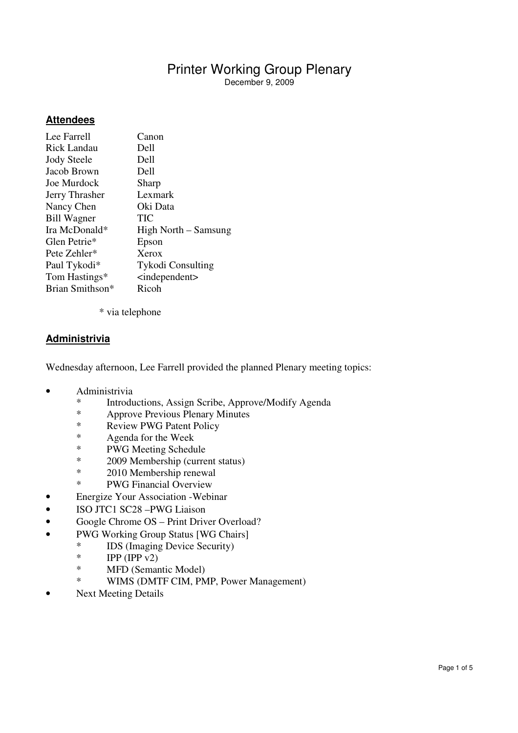## **Attendees**

| Lee Farrell                 | Canon                     |
|-----------------------------|---------------------------|
| <b>Rick Landau</b>          | Dell                      |
| <b>Jody Steele</b>          | Dell                      |
| Jacob Brown                 | Dell                      |
| Joe Murdock                 | Sharp                     |
| Jerry Thrasher              | Lexmark                   |
| Nancy Chen                  | Oki Data                  |
| <b>Bill Wagner</b>          | TIC                       |
| Ira McDonald*               | High North – Samsung      |
| Glen Petrie*                | Epson                     |
| Pete Zehler*                | Xerox                     |
| Paul Tykodi*                | <b>Tykodi Consulting</b>  |
| Tom Hastings*               | $\leq$ independent $\geq$ |
| Brian Smithson <sup>*</sup> | Ricoh                     |
|                             |                           |

\* via telephone

### **Administrivia**

Wednesday afternoon, Lee Farrell provided the planned Plenary meeting topics:

- Administrivia
	- \* Introductions, Assign Scribe, Approve/Modify Agenda
	- \* Approve Previous Plenary Minutes
	- \* Review PWG Patent Policy
	- \* Agenda for the Week<br>\* PWG Meeting Schedu
	- PWG Meeting Schedule
	- \* 2009 Membership (current status)<br> $*$  2010 Membership renewal
	- \* 2010 Membership renewal<br>\* PWG Financial Overview
	- PWG Financial Overview
- Energize Your Association Webinar
- ISO JTC1 SC28 –PWG Liaison
- Google Chrome OS Print Driver Overload?
- PWG Working Group Status [WG Chairs]
	- \* IDS (Imaging Device Security)<br>
	\* IPP (IPP  $v$ 2)
		- \* IPP (IPP  $v2$ )<br>\* MED (Semar
		- \* MFD (Semantic Model)<br>\* WIMS (DMTE CIM PM
			- WIMS (DMTF CIM, PMP, Power Management)
- Next Meeting Details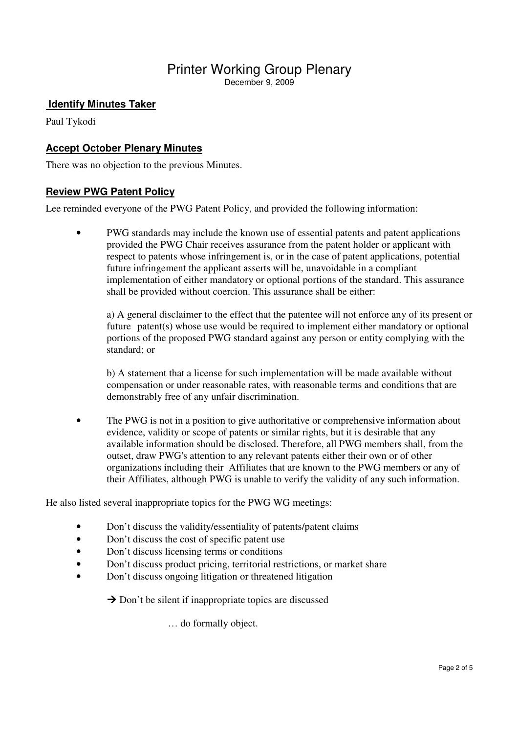## **Identify Minutes Taker**

Paul Tykodi

## **Accept October Plenary Minutes**

There was no objection to the previous Minutes.

#### **Review PWG Patent Policy**

Lee reminded everyone of the PWG Patent Policy, and provided the following information:

• PWG standards may include the known use of essential patents and patent applications provided the PWG Chair receives assurance from the patent holder or applicant with respect to patents whose infringement is, or in the case of patent applications, potential future infringement the applicant asserts will be, unavoidable in a compliant implementation of either mandatory or optional portions of the standard. This assurance shall be provided without coercion. This assurance shall be either:

 a) A general disclaimer to the effect that the patentee will not enforce any of its present or future patent(s) whose use would be required to implement either mandatory or optional portions of the proposed PWG standard against any person or entity complying with the standard; or

 b) A statement that a license for such implementation will be made available without compensation or under reasonable rates, with reasonable terms and conditions that are demonstrably free of any unfair discrimination.

• The PWG is not in a position to give authoritative or comprehensive information about evidence, validity or scope of patents or similar rights, but it is desirable that any available information should be disclosed. Therefore, all PWG members shall, from the outset, draw PWG's attention to any relevant patents either their own or of other organizations including their Affiliates that are known to the PWG members or any of their Affiliates, although PWG is unable to verify the validity of any such information.

He also listed several inappropriate topics for the PWG WG meetings:

- Don't discuss the validity/essentiality of patents/patent claims
- Don't discuss the cost of specific patent use
- Don't discuss licensing terms or conditions
- Don't discuss product pricing, territorial restrictions, or market share
- Don't discuss ongoing litigation or threatened litigation

 $\rightarrow$  Don't be silent if inappropriate topics are discussed

… do formally object.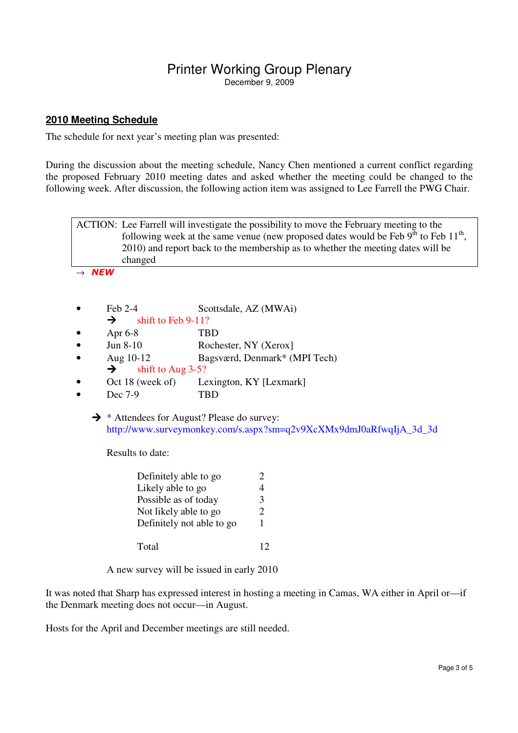### **2010 Meeting Schedule**

The schedule for next year's meeting plan was presented:

During the discussion about the meeting schedule, Nancy Chen mentioned a current conflict regarding the proposed February 2010 meeting dates and asked whether the meeting could be changed to the following week. After discussion, the following action item was assigned to Lee Farrell the PWG Chair.



• Dec 7-9 TBD

 $\rightarrow$  \* Attendees for August? Please do survey: http://www.surveymonkey.com/s.aspx?sm=q2v9XcXMx9dmJ0aRfwqIjA\_3d\_3d

Results to date:

| Definitely able to go     |  |
|---------------------------|--|
| Likely able to go         |  |
| Possible as of today      |  |
| Not likely able to go     |  |
| Definitely not able to go |  |
| Total                     |  |

A new survey will be issued in early 2010

It was noted that Sharp has expressed interest in hosting a meeting in Camas, WA either in April or—if the Denmark meeting does not occur—in August.

Hosts for the April and December meetings are still needed.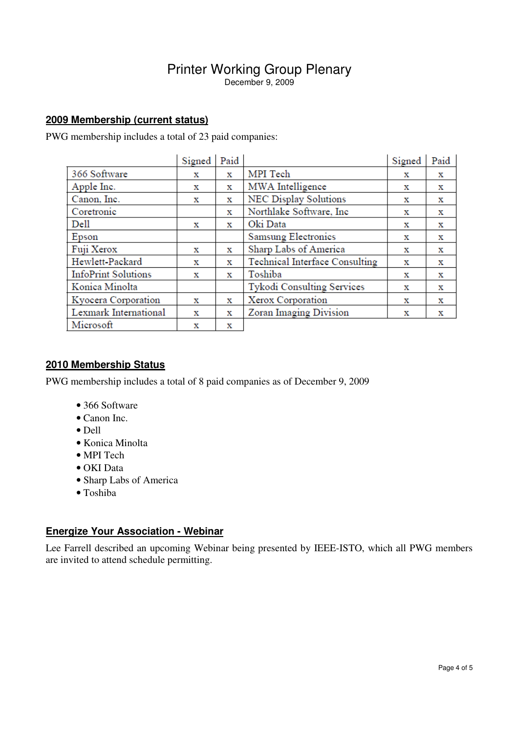## **2009 Membership (current status)**

PWG membership includes a total of 23 paid companies:

|                            | Signed | Paid |                                | Signed | Paid |
|----------------------------|--------|------|--------------------------------|--------|------|
| 366 Software               | х      | x    | MPI Tech                       | х      | х    |
| Apple Inc.                 | х      | х    | MWA Intelligence               | х      | х    |
| Canon, Inc.                | х      | х    | NEC Display Solutions          | х      | x    |
| Coretronic                 |        | х    | Northlake Software, Inc        | x      | х    |
| Dell                       | х      | х    | Oki Data                       | х      | х    |
| Epson                      |        |      | Samsung Electronics            | х      | х    |
| Fuji Xerox                 | х      | х    | Sharp Labs of America          | х      | х    |
| Hewlett-Packard            | х      | х    | Technical Interface Consulting | х      | х    |
| <b>InfoPrint Solutions</b> | х      | x    | Toshiba                        | х      | х    |
| Konica Minolta             |        |      | Tykodi Consulting Services     | х      | х    |
| Kyocera Corporation        | х      | х    | Xerox Corporation              | x      | х    |
| Lexmark International      | x      | х    | Zoran Imaging Division         | х      | х    |
| Microsoft                  | X      | х    |                                |        |      |

#### **2010 Membership Status**

PWG membership includes a total of 8 paid companies as of December 9, 2009

- 366 Software
- Canon Inc.
- Dell
- Konica Minolta
- MPI Tech
- OKI Data
- Sharp Labs of America
- Toshiba

#### **Energize Your Association - Webinar**

Lee Farrell described an upcoming Webinar being presented by IEEE-ISTO, which all PWG members are invited to attend schedule permitting.